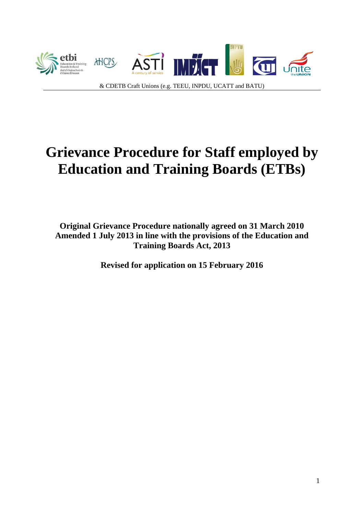

# **Grievance Procedure for Staff employed by Education and Training Boards (ETBs)**

**Original Grievance Procedure nationally agreed on 31 March 2010 Amended 1 July 2013 in line with the provisions of the Education and Training Boards Act, 2013** 

**Revised for application on 15 February 2016**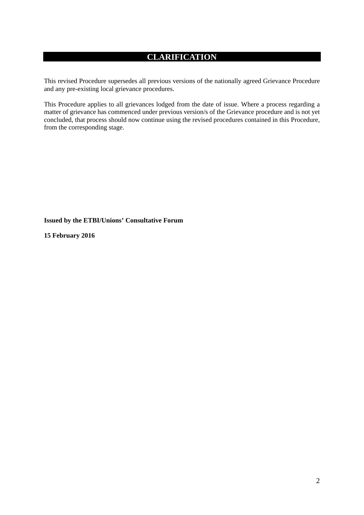# **CLARIFICATION**

This revised Procedure supersedes all previous versions of the nationally agreed Grievance Procedure and any pre-existing local grievance procedures.

This Procedure applies to all grievances lodged from the date of issue. Where a process regarding a matter of grievance has commenced under previous version/s of the Grievance procedure and is not yet concluded, that process should now continue using the revised procedures contained in this Procedure, from the corresponding stage.

**Issued by the ETBI/Unions' Consultative Forum** 

**15 February 2016**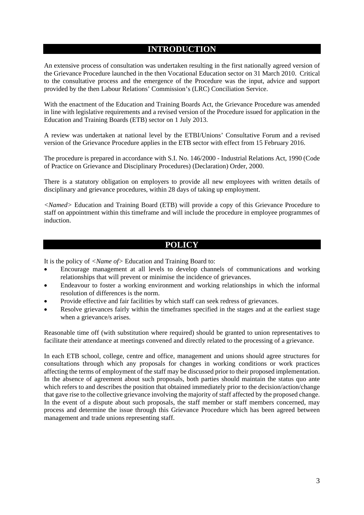## **INTRODUCTION**

An extensive process of consultation was undertaken resulting in the first nationally agreed version of the Grievance Procedure launched in the then Vocational Education sector on 31 March 2010. Critical to the consultative process and the emergence of the Procedure was the input, advice and support provided by the then Labour Relations' Commission's (LRC) Conciliation Service.

With the enactment of the Education and Training Boards Act, the Grievance Procedure was amended in line with legislative requirements and a revised version of the Procedure issued for application in the Education and Training Boards (ETB) sector on 1 July 2013.

A review was undertaken at national level by the ETBI/Unions' Consultative Forum and a revised version of the Grievance Procedure applies in the ETB sector with effect from 15 February 2016.

The procedure is prepared in accordance with S.I. No. 146/2000 - Industrial Relations Act, 1990 (Code of Practice on Grievance and Disciplinary Procedures) (Declaration) Order, 2000.

There is a statutory obligation on employers to provide all new employees with written details of disciplinary and grievance procedures, within 28 days of taking up employment.

*<Named>* Education and Training Board (ETB) will provide a copy of this Grievance Procedure to staff on appointment within this timeframe and will include the procedure in employee programmes of induction.

## **POLICY**

It is the policy of *<Name of>* Education and Training Board to:

- Encourage management at all levels to develop channels of communications and working relationships that will prevent or minimise the incidence of grievances.
- Endeavour to foster a working environment and working relationships in which the informal resolution of differences is the norm.
- Provide effective and fair facilities by which staff can seek redress of grievances.
- Resolve grievances fairly within the timeframes specified in the stages and at the earliest stage when a grievance/s arises.

Reasonable time off (with substitution where required) should be granted to union representatives to facilitate their attendance at meetings convened and directly related to the processing of a grievance.

In each ETB school, college, centre and office, management and unions should agree structures for consultations through which any proposals for changes in working conditions or work practices affecting the terms of employment of the staff may be discussed prior to their proposed implementation. In the absence of agreement about such proposals, both parties should maintain the status quo ante which refers to and describes the position that obtained immediately prior to the decision/action/change that gave rise to the collective grievance involving the majority of staff affected by the proposed change. In the event of a dispute about such proposals, the staff member or staff members concerned, may process and determine the issue through this Grievance Procedure which has been agreed between management and trade unions representing staff.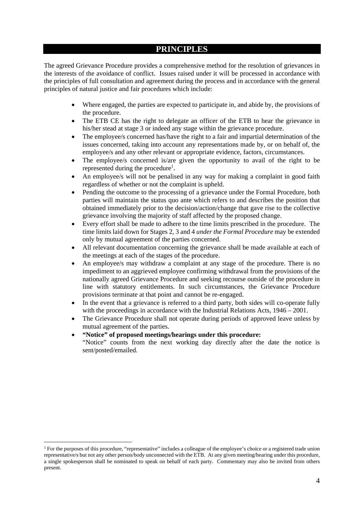### **PRINCIPLES**

The agreed Grievance Procedure provides a comprehensive method for the resolution of grievances in the interests of the avoidance of conflict. Issues raised under it will be processed in accordance with the principles of full consultation and agreement during the process and in accordance with the general principles of natural justice and fair procedures which include:

- Where engaged, the parties are expected to participate in, and abide by, the provisions of the procedure.
- The ETB CE has the right to delegate an officer of the ETB to hear the grievance in his/her stead at stage 3 or indeed any stage within the grievance procedure.
- The employee/s concerned has/have the right to a fair and impartial determination of the issues concerned, taking into account any representations made by, or on behalf of, the employee/s and any other relevant or appropriate evidence, factors, circumstances.
- The employee/s concerned is/are given the opportunity to avail of the right to be represented during the procedure<sup>1</sup>.
- An employee/s will not be penalised in any way for making a complaint in good faith regardless of whether or not the complaint is upheld.
- Pending the outcome to the processing of a grievance under the Formal Procedure, both parties will maintain the status quo ante which refers to and describes the position that obtained immediately prior to the decision/action/change that gave rise to the collective grievance involving the majority of staff affected by the proposed change.
- Every effort shall be made to adhere to the time limits prescribed in the procedure. The time limits laid down for Stages 2, 3 and 4 *under the Formal Procedure* may be extended only by mutual agreement of the parties concerned.
- All relevant documentation concerning the grievance shall be made available at each of the meetings at each of the stages of the procedure.
- An employee/s may withdraw a complaint at any stage of the procedure. There is no impediment to an aggrieved employee confirming withdrawal from the provisions of the nationally agreed Grievance Procedure and seeking recourse outside of the procedure in line with statutory entitlements. In such circumstances, the Grievance Procedure provisions terminate at that point and cannot be re-engaged.
- In the event that a grievance is referred to a third party, both sides will co-operate fully with the proceedings in accordance with the Industrial Relations Acts, 1946 – 2001.
- The Grievance Procedure shall not operate during periods of approved leave unless by mutual agreement of the parties.

#### **"Notice" of proposed meetings/hearings under this procedure:**

"Notice" counts from the next working day directly after the date the notice is sent/posted/emailed.

<u>.</u>

<sup>1</sup> For the purposes of this procedure, "representative" includes a colleague of the employee's choice or a registered trade union representative/s but not any other person/body unconnected with the ETB. At any given meeting/hearing under this procedure, a single spokesperson shall be nominated to speak on behalf of each party. Commentary may also be invited from others present.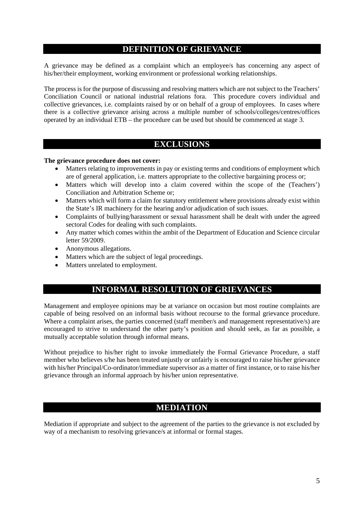## **DEFINITION OF GRIEVANCE**

A grievance may be defined as a complaint which an employee/s has concerning any aspect of his/her/their employment, working environment or professional working relationships.

The process is for the purpose of discussing and resolving matters which are not subject to the Teachers' Conciliation Council or national industrial relations fora.This procedure covers individual and collective grievances, i.e. complaints raised by or on behalf of a group of employees. In cases where there is a collective grievance arising across a multiple number of schools/colleges/centres/offices operated by an individual ETB – the procedure can be used but should be commenced at stage 3.

## **EXCLUSIONS**

#### **The grievance procedure does not cover:**

- Matters relating to improvements in pay or existing terms and conditions of employment which are of general application, i.e. matters appropriate to the collective bargaining process or;
- Matters which will develop into a claim covered within the scope of the (Teachers') Conciliation and Arbitration Scheme or;
- Matters which will form a claim for statutory entitlement where provisions already exist within the State's IR machinery for the hearing and/or adjudication of such issues.
- Complaints of bullying/harassment or sexual harassment shall be dealt with under the agreed sectoral Codes for dealing with such complaints.
- Any matter which comes within the ambit of the Department of Education and Science circular letter 59/2009.
- Anonymous allegations.
- Matters which are the subject of legal proceedings.
- Matters unrelated to employment.

# **INFORMAL RESOLUTION OF GRIEVANCES**

Management and employee opinions may be at variance on occasion but most routine complaints are capable of being resolved on an informal basis without recourse to the formal grievance procedure. Where a complaint arises, the parties concerned (staff member/s and management representative/s) are encouraged to strive to understand the other party's position and should seek, as far as possible, a mutually acceptable solution through informal means.

Without prejudice to his/her right to invoke immediately the Formal Grievance Procedure, a staff member who believes s/he has been treated unjustly or unfairly is encouraged to raise his/her grievance with his/her Principal/Co-ordinator/immediate supervisor as a matter of first instance, or to raise his/her grievance through an informal approach by his/her union representative.

## **MEDIATION**

Mediation if appropriate and subject to the agreement of the parties to the grievance is not excluded by way of a mechanism to resolving grievance/s at informal or formal stages.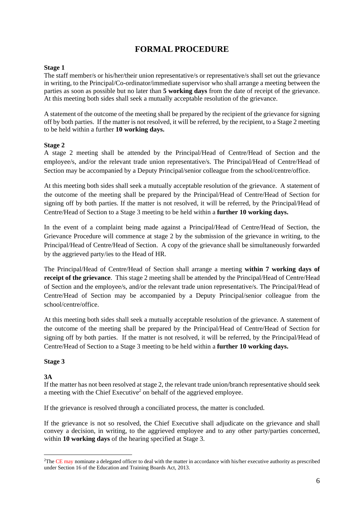# **FORMAL PROCEDURE**

#### **Stage 1**

The staff member/s or his/her/their union representative/s or representative/s shall set out the grievance in writing, to the Principal/Co-ordinator/immediate supervisor who shall arrange a meeting between the parties as soon as possible but no later than **5 working days** from the date of receipt of the grievance. At this meeting both sides shall seek a mutually acceptable resolution of the grievance.

A statement of the outcome of the meeting shall be prepared by the recipient of the grievance for signing off by both parties. If the matter is not resolved, it will be referred, by the recipient, to a Stage 2 meeting to be held within a further **10 working days.** 

#### **Stage 2**

A stage 2 meeting shall be attended by the Principal/Head of Centre/Head of Section and the employee/s, and/or the relevant trade union representative/s. The Principal/Head of Centre/Head of Section may be accompanied by a Deputy Principal/senior colleague from the school/centre/office.

At this meeting both sides shall seek a mutually acceptable resolution of the grievance. A statement of the outcome of the meeting shall be prepared by the Principal/Head of Centre/Head of Section for signing off by both parties. If the matter is not resolved, it will be referred, by the Principal/Head of Centre/Head of Section to a Stage 3 meeting to be held within a **further 10 working days.** 

In the event of a complaint being made against a Principal/Head of Centre/Head of Section, the Grievance Procedure will commence at stage 2 by the submission of the grievance in writing, to the Principal/Head of Centre/Head of Section. A copy of the grievance shall be simultaneously forwarded by the aggrieved party/ies to the Head of HR.

The Principal/Head of Centre/Head of Section shall arrange a meeting **within 7 working days of receipt of the grievance**. This stage 2 meeting shall be attended by the Principal/Head of Centre/Head of Section and the employee/s, and/or the relevant trade union representative/s. The Principal/Head of Centre/Head of Section may be accompanied by a Deputy Principal/senior colleague from the school/centre/office.

At this meeting both sides shall seek a mutually acceptable resolution of the grievance. A statement of the outcome of the meeting shall be prepared by the Principal/Head of Centre/Head of Section for signing off by both parties. If the matter is not resolved, it will be referred, by the Principal/Head of Centre/Head of Section to a Stage 3 meeting to be held within a **further 10 working days.** 

#### **Stage 3**

#### **3A**

1

If the matter has not been resolved at stage 2, the relevant trade union/branch representative should seek a meeting with the Chief Executive<sup>2</sup> on behalf of the aggrieved employee.

If the grievance is resolved through a conciliated process, the matter is concluded.

If the grievance is not so resolved, the Chief Executive shall adjudicate on the grievance and shall convey a decision, in writing, to the aggrieved employee and to any other party/parties concerned, within **10 working days** of the hearing specified at Stage 3.

<sup>&</sup>lt;sup>2</sup>The CE may nominate a delegated officer to deal with the matter in accordance with his/her executive authority as prescribed under Section 16 of the Education and Training Boards Act, 2013.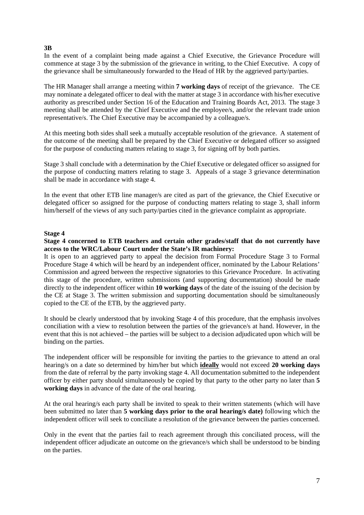#### **3B**

In the event of a complaint being made against a Chief Executive, the Grievance Procedure will commence at stage 3 by the submission of the grievance in writing, to the Chief Executive. A copy of the grievance shall be simultaneously forwarded to the Head of HR by the aggrieved party/parties.

The HR Manager shall arrange a meeting within **7 working days** of receipt of the grievance. The CE may nominate a delegated officer to deal with the matter at stage 3 in accordance with his/her executive authority as prescribed under Section 16 of the Education and Training Boards Act, 2013. The stage 3 meeting shall be attended by the Chief Executive and the employee/s, and/or the relevant trade union representative/s. The Chief Executive may be accompanied by a colleague/s.

At this meeting both sides shall seek a mutually acceptable resolution of the grievance. A statement of the outcome of the meeting shall be prepared by the Chief Executive or delegated officer so assigned for the purpose of conducting matters relating to stage 3, for signing off by both parties.

Stage 3 shall conclude with a determination by the Chief Executive or delegated officer so assigned for the purpose of conducting matters relating to stage 3. Appeals of a stage 3 grievance determination shall be made in accordance with stage 4.

In the event that other ETB line manager/s are cited as part of the grievance, the Chief Executive or delegated officer so assigned for the purpose of conducting matters relating to stage 3, shall inform him/herself of the views of any such party/parties cited in the grievance complaint as appropriate.

#### **Stage 4**

**Stage 4 concerned to ETB teachers and certain other grades/staff that do not currently have access to the WRC/Labour Court under the State's IR machinery:** 

It is open to an aggrieved party to appeal the decision from Formal Procedure Stage 3 to Formal Procedure Stage 4 which will be heard by an independent officer, nominated by the Labour Relations' Commission and agreed between the respective signatories to this Grievance Procedure. In activating this stage of the procedure, written submissions (and supporting documentation) should be made directly to the independent officer within **10 working days** of the date of the issuing of the decision by the CE at Stage 3. The written submission and supporting documentation should be simultaneously copied to the CE of the ETB, by the aggrieved party.

It should be clearly understood that by invoking Stage 4 of this procedure, that the emphasis involves conciliation with a view to resolution between the parties of the grievance/s at hand. However, in the event that this is not achieved – the parties will be subject to a decision adjudicated upon which will be binding on the parties.

The independent officer will be responsible for inviting the parties to the grievance to attend an oral hearing/s on a date so determined by him/her but which **ideally** would not exceed **20 working days** from the date of referral by the party invoking stage 4. All documentation submitted to the independent officer by either party should simultaneously be copied by that party to the other party no later than **5 working days** in advance of the date of the oral hearing.

At the oral hearing/s each party shall be invited to speak to their written statements (which will have been submitted no later than **5 working days prior to the oral hearing/s date)** following which the independent officer will seek to conciliate a resolution of the grievance between the parties concerned.

Only in the event that the parties fail to reach agreement through this conciliated process, will the independent officer adjudicate an outcome on the grievance/s which shall be understood to be binding on the parties.